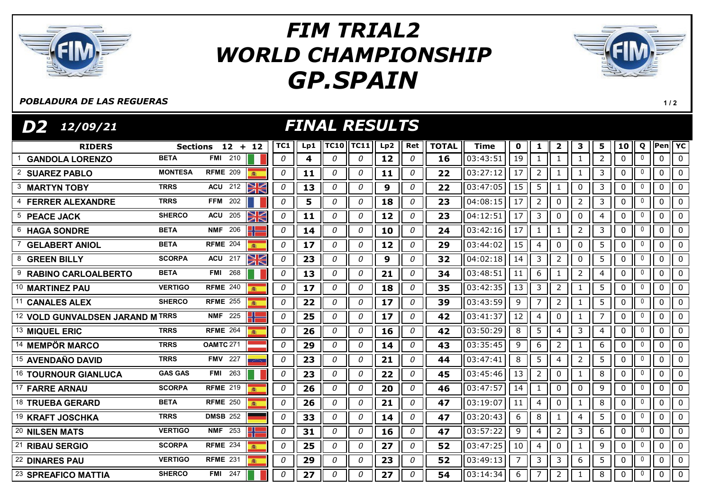

## GP.SPAIN FIM TRIAL2 WORLD CHAMPIONSHIP



## POBLADURA DE LAS REGUERAS

1 / 2

| <b>FINAL RESULTS</b><br>D2<br>12/09/21 |                |                      |              |    |               |                              |     |              |              |             |                 |                |                |                |                |              |              |             |                |
|----------------------------------------|----------------|----------------------|--------------|----|---------------|------------------------------|-----|--------------|--------------|-------------|-----------------|----------------|----------------|----------------|----------------|--------------|--------------|-------------|----------------|
| <b>RIDERS</b>                          |                | Sections 12 + 12     | TC1          |    | Lp1 $\ $ TC10 | $\parallel$ TC11 $\parallel$ | Lp2 | Ret          | <b>TOTAL</b> | <b>Time</b> | $\mathbf 0$     | 1              | $\mathbf{2}$   | 3              | 5              | 10           | Q            | Pen YC      |                |
| <b>GANDOLA LORENZO</b>                 | <b>BETA</b>    | <b>FMI</b> 210       | 0            | 4  | 0             | 0                            | 12  | 0            | 16           | 03:43:51    | 19              | $\mathbf{1}$   | $\mathbf{1}$   | $\mathbf{1}$   | $\overline{2}$ | $\mathbf{0}$ | $\mathbf{0}$ | 0           | $\overline{0}$ |
| <b>SUAREZ PABLO</b>                    | <b>MONTESA</b> | <b>RFME</b> 209      | 0            | 11 | 0             | 0                            | 11  | 0            | 22           | 03:27:12    | 17              | $\overline{2}$ | $\mathbf{1}$   | $\mathbf{1}$   | 3              | 0            | 0            | 0           | $\mathbf 0$    |
| <b>MARTYN TOBY</b>                     | <b>TRRS</b>    | XK<br><b>ACU</b> 212 | 0            | 13 | 0             | 0                            | 9   | 0            | 22           | 03:47:05    | 15              | 5              | $\mathbf{1}$   | 0              | 3              | 0            | 0            | $\mathbf 0$ | $\mathbf 0$    |
| <b>FERRER ALEXANDRE</b>                | <b>TRRS</b>    | FFM $202$            | 0            | 5  | 0             | 0                            | 18  | 0            | 23           | 04:08:15    | $\overline{17}$ | $\overline{2}$ | 0              | $\overline{2}$ | 3              | $\mathbf 0$  | $\mathbf{0}$ | 0           | $\mathbf{0}$   |
| <b>PEACE JACK</b><br>5                 | <b>SHERCO</b>  | WK<br><b>ACU 205</b> | 0            | 11 | 0             | 0                            | 12  | 0            | 23           | 04:12:51    | 17              | $\overline{3}$ | 0              | 0              | 4              | 0            | $\mathbf 0$  | 0           | $\mathbf 0$    |
| <b>HAGA SONDRE</b>                     | <b>BETA</b>    | <b>NMF 206</b>       | 0            | 14 | 0             | 0                            | 10  | 0            | 24           | 03:42:16    | 17              | $\mathbf{1}$   | -1             | $\overline{2}$ | 3              | $\pmb{0}$    | $\mathbf 0$  | 0           | $\mathbf{0}$   |
| <b>GELABERT ANIOL</b>                  | <b>BETA</b>    | RFME $204$<br>高      | 0            | 17 | 0             | 0                            | 12  | 0            | 29           | 03:44:02    | 15              | $\overline{4}$ | 0              | 0              | 5              | 0            | 0            | 0           | $\mathbf 0$    |
| <b>GREEN BILLY</b><br>8                | <b>SCORPA</b>  | XK<br><b>ACU</b> 217 | 0            | 23 | 0             | 0                            | 9   | 0            | 32           | 04:02:18    | 14              | $\overline{3}$ | $\overline{2}$ | 0              | 5              | $\pmb{0}$    | 0            | 0           | 0              |
| <b>RABINO CARLOALBERTO</b>             | <b>BETA</b>    | 268<br>FMI           | 0            | 13 | 0             | 0                            | 21  | 0            | 34           | 03:48:51    | 11              | 6              | 1              | $\overline{2}$ | 4              | 0            | 0            | 0           | 0              |
| 10 MARTINEZ PAU                        | <b>VERTIGO</b> | <b>RFME 240</b>      | 0            | 17 | 0             | 0                            | 18  | 0            | 35           | 03:42:35    | 13              | 3              | $\overline{2}$ | 1              | 5              | $\mathbf 0$  | 0            | 0           | $\mathbf{0}$   |
| <b>CANALES ALEX</b>                    | <b>SHERCO</b>  | <b>RFME 255</b>      | 0            | 22 | 0             | 0                            | 17  | 0            | 39           | 03:43:59    | 9               | $\overline{7}$ | $\overline{2}$ | 1              | 5              | 0            | 0            | 0           | $\mathbf{0}$   |
| 12 VOLD GUNVALDSEN JARAND M TRRS       |                | <b>NMF 225</b>       | 0            | 25 | 0             | 0                            | 17  | 0            | 42           | 03:41:37    | 12              | $\overline{4}$ | $\mathbf 0$    | 1              | $\overline{7}$ | $\mathbf 0$  | 0            | 0           | $\mathbf 0$    |
| 13 MIQUEL ERIC                         | <b>TRRS</b>    | <b>RFME 264</b>      | 0            | 26 | 0             | 0                            | 16  | 0            | 42           | 03:50:29    | 8               | 5              | $\overline{4}$ | 3              | 4              | 0            | 0            | 0           | $\mathbf 0$    |
| <b>MEMPÖR MARCO</b><br>14              | <b>TRRS</b>    | <b>OAMTC 271</b>     | 0            | 29 | 0             | 0                            | 14  | 0            | 43           | 03:35:45    | 9               | 6              | $\overline{2}$ |                | 6              | 0            | 0            | 0           | $\mathbf 0$    |
| <sup>15</sup> AVENDAÑO DAVID           | <b>TRRS</b>    | <b>FMV 227</b>       | 0            | 23 | 0             | 0                            | 21  | 0            | 44           | 03:47:41    | 8               | 5              | $\overline{4}$ | $\overline{2}$ | 5              | $\pmb{0}$    | 0            | $\mathbf 0$ | $\overline{0}$ |
| 16 TOURNOUR GIANLUCA                   | <b>GAS GAS</b> | <b>FMI</b> 263       | 0            | 23 | 0             | 0                            | 22  | 0            | 45           | 03:45:46    | 13              | $\overline{2}$ | $\mathbf 0$    | 1              | 8              | $\pmb{0}$    | 0            | 0           | $\overline{0}$ |
| <b>FARRE ARNAU</b>                     | <b>SCORPA</b>  | <b>RFME 219</b>      | 0            | 26 | 0             | 0                            | 20  | 0            | 46           | 03:47:57    | 14              | $\mathbf{1}$   | $\pmb{0}$      | 0              | 9              | $\pmb{0}$    | 0            | $\mathbf 0$ | $\mathbf 0$    |
| <sup>18</sup> TRUEBA GERARD            | <b>BETA</b>    | <b>RFME 250</b>      | 0            | 26 | 0             | 0                            | 21  | 0            | 47           | 03:19:07    | 11              | 4              | $\pmb{0}$      | 1              | 8              | $\pmb{0}$    | 0            | 0           | $\mathbf 0$    |
| 19 KRAFT JOSCHKA                       | <b>TRRS</b>    | <b>DMSB 252</b>      | 0            | 33 | 0             | 0                            | 14  | 0            | 47           | 03:20:43    | 6               | 8              | $\mathbf{1}$   | $\overline{4}$ | 5              | $\mathbf 0$  | 0            | $\mathbf 0$ | $\mathbf 0$    |
| 20 NILSEN MATS                         | <b>VERTIGO</b> | <b>NMF</b> 253       | $\mathcal O$ | 31 | 0             | 0                            | 16  | 0            | 47           | 03:57:22    | 9               | 4              | $\overline{2}$ | 3              | 6              | $\pmb{0}$    | $\mathbf 0$  | $\mathbf 0$ | $\overline{0}$ |
| 21<br><b>RIBAU SERGIO</b>              | <b>SCORPA</b>  | <b>RFME 234</b>      | 0            | 25 | 0             | 0                            | 27  | 0            | 52           | 03:47:25    | 10              | 4              | $\mathbf 0$    | 1              | 9              | $\mathbf 0$  | $\mathbf{0}$ | 0           | $\mathbf 0$    |
| 22 DINARES PAU                         | <b>VERTIGO</b> | <b>RFME 231</b>      | 0            | 29 | 0             | 0                            | 23  | $\mathcal O$ | 52           | 03:49:13    | $\overline{7}$  | 3              | 3              | 6              | 5              | $\mathbf 0$  | $\Omega$     | 0           | $\Omega$       |
| <sup>23</sup> SPREAFICO MATTIA         | <b>SHERCO</b>  | FMI $247$            | 0            | 27 | 0             | 0                            | 27  | 0            | 54           | 03:14:34    | 6               | $\overline{7}$ | $\overline{2}$ | 1              | 8              | 0            | 0            | 0           | $\overline{0}$ |